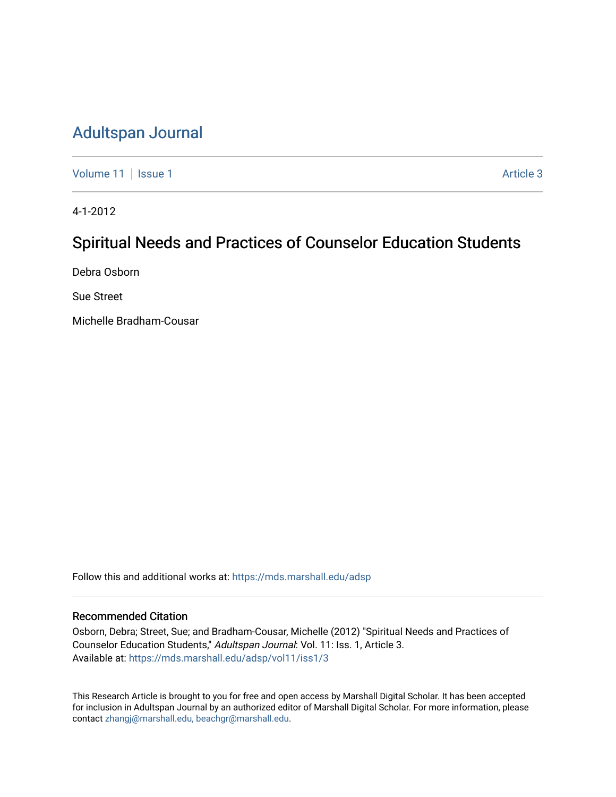# [Adultspan Journal](https://mds.marshall.edu/adsp)

[Volume 11](https://mds.marshall.edu/adsp/vol11) | [Issue 1](https://mds.marshall.edu/adsp/vol11/iss1) Article 3

4-1-2012

# Spiritual Needs and Practices of Counselor Education Students

Debra Osborn

Sue Street

Michelle Bradham-Cousar

Follow this and additional works at: [https://mds.marshall.edu/adsp](https://mds.marshall.edu/adsp?utm_source=mds.marshall.edu%2Fadsp%2Fvol11%2Fiss1%2F3&utm_medium=PDF&utm_campaign=PDFCoverPages) 

#### Recommended Citation

Osborn, Debra; Street, Sue; and Bradham-Cousar, Michelle (2012) "Spiritual Needs and Practices of Counselor Education Students," Adultspan Journal: Vol. 11: Iss. 1, Article 3. Available at: [https://mds.marshall.edu/adsp/vol11/iss1/3](https://mds.marshall.edu/adsp/vol11/iss1/3?utm_source=mds.marshall.edu%2Fadsp%2Fvol11%2Fiss1%2F3&utm_medium=PDF&utm_campaign=PDFCoverPages) 

This Research Article is brought to you for free and open access by Marshall Digital Scholar. It has been accepted for inclusion in Adultspan Journal by an authorized editor of Marshall Digital Scholar. For more information, please contact [zhangj@marshall.edu, beachgr@marshall.edu](mailto:zhangj@marshall.edu,%20beachgr@marshall.edu).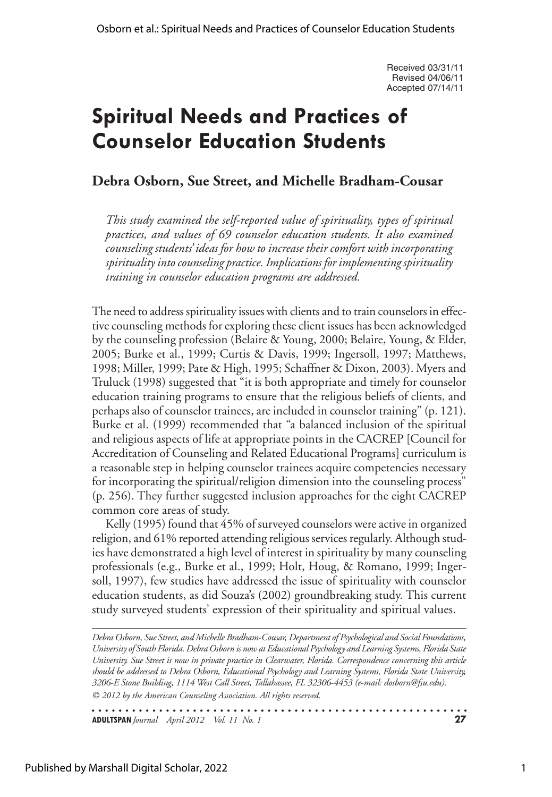Received 03/31/11 Revised 04/06/11 Accepted 07/14/11

# **Spiritual Needs and Practices of Counselor Education Students**

## **Debra Osborn, Sue Street, and Michelle Bradham-Cousar**

*This study examined the self-reported value of spirituality, types of spiritual practices, and values of 69 counselor education students. It also examined counseling students' ideas for how to increase their comfort with incorporating spirituality into counseling practice. Implications for implementing spirituality training in counselor education programs are addressed.* 

The need to address spirituality issues with clients and to train counselors in effective counseling methods for exploring these client issues has been acknowledged by the counseling profession (Belaire & Young, 2000; Belaire, Young, & Elder, 2005; Burke et al., 1999; Curtis & Davis, 1999; Ingersoll, 1997; Matthews, 1998; Miller, 1999; Pate & High, 1995; Schaffner & Dixon, 2003). Myers and Truluck (1998) suggested that "it is both appropriate and timely for counselor education training programs to ensure that the religious beliefs of clients, and perhaps also of counselor trainees, are included in counselor training" (p. 121). Burke et al. (1999) recommended that "a balanced inclusion of the spiritual and religious aspects of life at appropriate points in the CACREP [Council for Accreditation of Counseling and Related Educational Programs] curriculum is a reasonable step in helping counselor trainees acquire competencies necessary for incorporating the spiritual/religion dimension into the counseling process" (p. 256). They further suggested inclusion approaches for the eight CACREP common core areas of study.

Kelly (1995) found that 45% of surveyed counselors were active in organized religion, and 61% reported attending religious services regularly. Although studies have demonstrated a high level of interest in spirituality by many counseling professionals (e.g., Burke et al., 1999; Holt, Houg, & Romano, 1999; Ingersoll, 1997), few studies have addressed the issue of spirituality with counselor education students, as did Souza's (2002) groundbreaking study. This current study surveyed students' expression of their spirituality and spiritual values.

*© 2012 by the American Counseling Association. All rights reserved. Debra Osborn, Sue Street, and Michelle Bradham-Cousar, Department of Psychological and Social Foundations, University of South Florida. Debra Osborn is now at Educational Psychology and Learning Systems, Florida State University. Sue Street is now in private practice in Clearwater, Florida. Correspondence concerning this article should be addressed to Debra Osborn, Educational Psychology and Learning Systems, Florida State University, 3206-E Stone Building, 1114 West Call Street, Tallahassee, FL 32306-4453 (e-mail: dosborn@fsu.edu).*

**ADULTSPAN***Journal April 2012 Vol. 11 No. 1* **27**

Published by Marshall Digital Scholar, 2022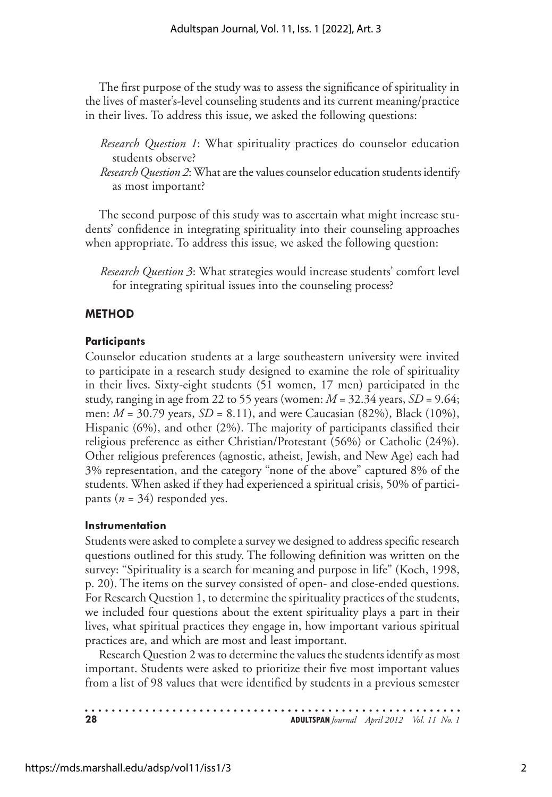The first purpose of the study was to assess the significance of spirituality in the lives of master's-level counseling students and its current meaning/practice in their lives. To address this issue, we asked the following questions:

*Research Question 1*: What spirituality practices do counselor education students observe?

*Research Question 2*: What are the values counselor education students identify as most important?

The second purpose of this study was to ascertain what might increase students' confidence in integrating spirituality into their counseling approaches when appropriate. To address this issue, we asked the following question:

*Research Question 3*: What strategies would increase students' comfort level for integrating spiritual issues into the counseling process?

#### **Method**

#### **Participants**

Counselor education students at a large southeastern university were invited to participate in a research study designed to examine the role of spirituality in their lives. Sixty-eight students (51 women, 17 men) participated in the study, ranging in age from 22 to 55 years (women:  $M = 32.34$  years,  $SD = 9.64$ ; men: *M* = 30.79 years, *SD* = 8.11), and were Caucasian (82%), Black (10%), Hispanic (6%), and other (2%). The majority of participants classified their religious preference as either Christian/Protestant (56%) or Catholic (24%). Other religious preferences (agnostic, atheist, Jewish, and New Age) each had 3% representation, and the category "none of the above" captured 8% of the students. When asked if they had experienced a spiritual crisis, 50% of participants  $(n = 34)$  responded yes.

#### **Instrumentation**

Students were asked to complete a survey we designed to address specific research questions outlined for this study. The following definition was written on the survey: "Spirituality is a search for meaning and purpose in life" (Koch, 1998, p. 20). The items on the survey consisted of open- and close-ended questions. For Research Question 1, to determine the spirituality practices of the students, we included four questions about the extent spirituality plays a part in their lives, what spiritual practices they engage in, how important various spiritual practices are, and which are most and least important.

Research Question 2 was to determine the values the students identify as most important. Students were asked to prioritize their five most important values from a list of 98 values that were identified by students in a previous semester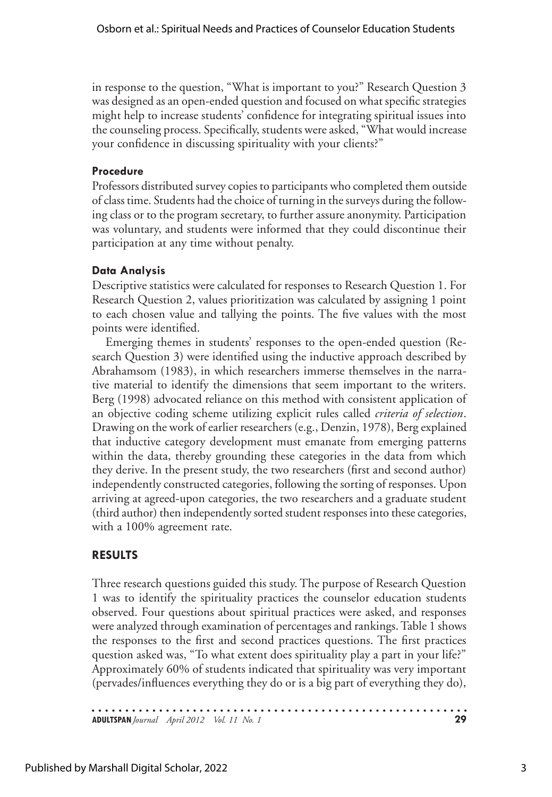in response to the question, "What is important to you?" Research Question 3 was designed as an open-ended question and focused on what specific strategies might help to increase students' confidence for integrating spiritual issues into the counseling process. Specifically, students were asked, "What would increase your confidence in discussing spirituality with your clients?"

#### **Procedure**

Professors distributed survey copies to participants who completed them outside of class time. Students had the choice of turning in the surveys during the following class or to the program secretary, to further assure anonymity. Participation was voluntary, and students were informed that they could discontinue their participation at any time without penalty.

### **Data Analysis**

Descriptive statistics were calculated for responses to Research Question 1. For Research Question 2, values prioritization was calculated by assigning 1 point to each chosen value and tallying the points. The five values with the most points were identified.

Emerging themes in students' responses to the open-ended question (Research Question 3) were identified using the inductive approach described by Abrahamsom (1983), in which researchers immerse themselves in the narrative material to identify the dimensions that seem important to the writers. Berg (1998) advocated reliance on this method with consistent application of an objective coding scheme utilizing explicit rules called *criteria of selection*. Drawing on the work of earlier researchers (e.g., Denzin, 1978), Berg explained that inductive category development must emanate from emerging patterns within the data, thereby grounding these categories in the data from which they derive. In the present study, the two researchers (first and second author) independently constructed categories, following the sorting of responses. Upon arriving at agreed-upon categories, the two researchers and a graduate student (third author) then independently sorted student responses into these categories, with a 100% agreement rate.

## **Results**

Three research questions guided this study. The purpose of Research Question 1 was to identify the spirituality practices the counselor education students observed. Four questions about spiritual practices were asked, and responses were analyzed through examination of percentages and rankings. Table 1 shows the responses to the first and second practices questions. The first practices question asked was, "To what extent does spirituality play a part in your life?" Approximately 60% of students indicated that spirituality was very important (pervades/influences everything they do or is a big part of everything they do),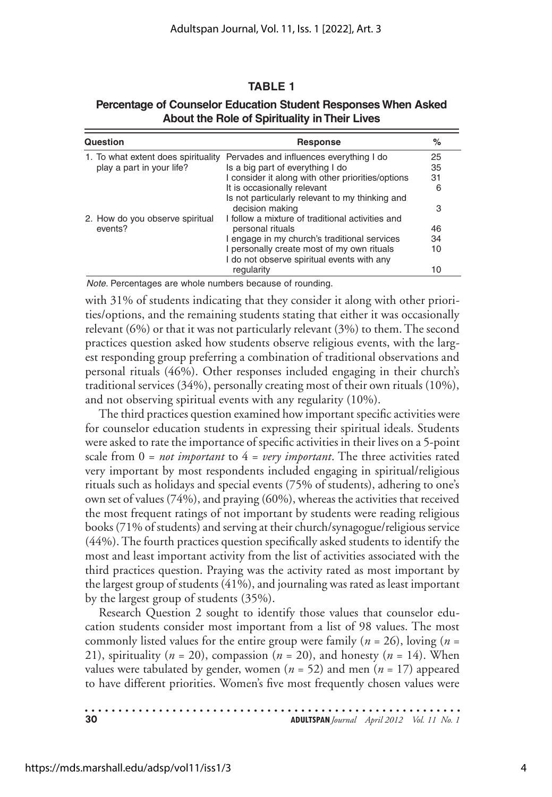#### **Table 1**

| Question                                   | Response                                                                                 | ℅  |
|--------------------------------------------|------------------------------------------------------------------------------------------|----|
|                                            | 1. To what extent does spirituality Pervades and influences everything I do              | 25 |
| play a part in your life?                  | Is a big part of everything I do                                                         | 35 |
|                                            | I consider it along with other priorities/options                                        | 31 |
|                                            | It is occasionally relevant                                                              | 6  |
|                                            | Is not particularly relevant to my thinking and<br>decision making                       | 3  |
| 2. How do you observe spiritual<br>events? | I follow a mixture of traditional activities and                                         |    |
|                                            | personal rituals                                                                         | 46 |
|                                            | I engage in my church's traditional services                                             | 34 |
|                                            | I personally create most of my own rituals<br>I do not observe spiritual events with any | 10 |
|                                            | regularity                                                                               | 10 |

#### **Percentage of Counselor Education Student Responses When Asked About the Role of Spirituality in Their Lives**

*Note*. Percentages are whole numbers because of rounding.

with 31% of students indicating that they consider it along with other priorities/options, and the remaining students stating that either it was occasionally relevant (6%) or that it was not particularly relevant (3%) to them. The second practices question asked how students observe religious events, with the largest responding group preferring a combination of traditional observations and personal rituals (46%). Other responses included engaging in their church's traditional services (34%), personally creating most of their own rituals (10%), and not observing spiritual events with any regularity (10%).

The third practices question examined how important specific activities were for counselor education students in expressing their spiritual ideals. Students were asked to rate the importance of specific activities in their lives on a 5-point scale from  $0 = not important$  to  $4 = very important$ . The three activities rated very important by most respondents included engaging in spiritual/religious rituals such as holidays and special events (75% of students), adhering to one's own set of values (74%), and praying (60%), whereas the activities that received the most frequent ratings of not important by students were reading religious books (71% of students) and serving at their church/synagogue/religious service (44%). The fourth practices question specifically asked students to identify the most and least important activity from the list of activities associated with the third practices question. Praying was the activity rated as most important by the largest group of students (41%), and journaling was rated as least important by the largest group of students (35%).

Research Question 2 sought to identify those values that counselor education students consider most important from a list of 98 values. The most commonly listed values for the entire group were family (*n* = 26), loving (*n* = 21), spirituality ( $n = 20$ ), compassion ( $n = 20$ ), and honesty ( $n = 14$ ). When values were tabulated by gender, women ( $n = 52$ ) and men ( $n = 17$ ) appeared to have different priorities. Women's five most frequently chosen values were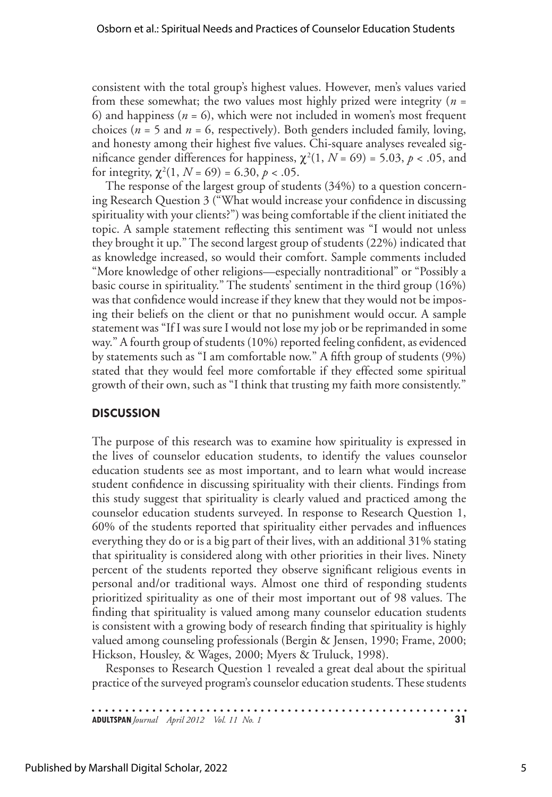consistent with the total group's highest values. However, men's values varied from these somewhat; the two values most highly prized were integrity (*n* = 6) and happiness (*n* = 6), which were not included in women's most frequent choices ( $n = 5$  and  $n = 6$ , respectively). Both genders included family, loving, and honesty among their highest five values. Chi-square analyses revealed significance gender differences for happiness,  $\chi^2(1, N = 69) = 5.03, p < .05$ , and for integrity,  $\chi^2(1, N = 69) = 6.30, p < .05$ .

The response of the largest group of students (34%) to a question concerning Research Question 3 ("What would increase your confidence in discussing spirituality with your clients?") was being comfortable if the client initiated the topic. A sample statement reflecting this sentiment was "I would not unless they brought it up." The second largest group of students (22%) indicated that as knowledge increased, so would their comfort. Sample comments included "More knowledge of other religions—especially nontraditional" or "Possibly a basic course in spirituality." The students' sentiment in the third group (16%) was that confidence would increase if they knew that they would not be imposing their beliefs on the client or that no punishment would occur. A sample statement was "If I was sure I would not lose my job or be reprimanded in some way." A fourth group of students (10%) reported feeling confident, as evidenced by statements such as "I am comfortable now." A fifth group of students (9%) stated that they would feel more comfortable if they effected some spiritual growth of their own, such as "I think that trusting my faith more consistently."

#### **Discussion**

The purpose of this research was to examine how spirituality is expressed in the lives of counselor education students, to identify the values counselor education students see as most important, and to learn what would increase student confidence in discussing spirituality with their clients. Findings from this study suggest that spirituality is clearly valued and practiced among the counselor education students surveyed. In response to Research Question 1, 60% of the students reported that spirituality either pervades and influences everything they do or is a big part of their lives, with an additional 31% stating that spirituality is considered along with other priorities in their lives. Ninety percent of the students reported they observe significant religious events in personal and/or traditional ways. Almost one third of responding students prioritized spirituality as one of their most important out of 98 values. The finding that spirituality is valued among many counselor education students is consistent with a growing body of research finding that spirituality is highly valued among counseling professionals (Bergin & Jensen, 1990; Frame, 2000; Hickson, Housley, & Wages, 2000; Myers & Truluck, 1998).

Responses to Research Question 1 revealed a great deal about the spiritual practice of the surveyed program's counselor education students. These students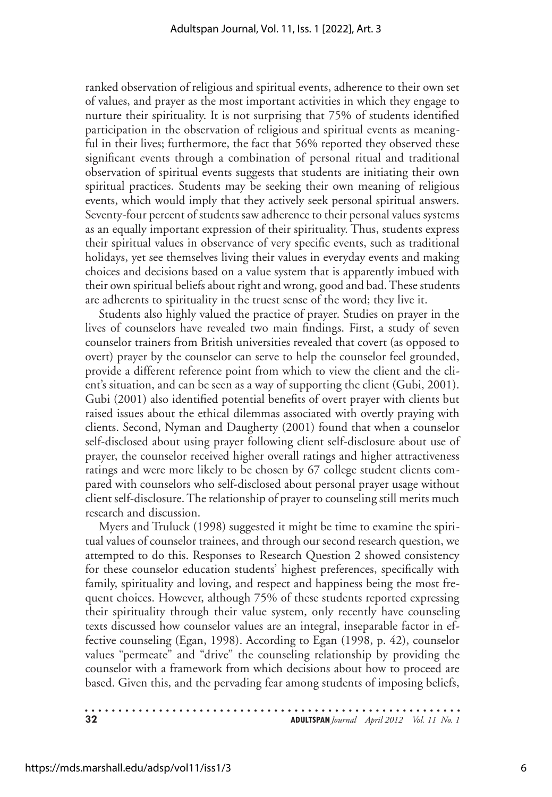ranked observation of religious and spiritual events, adherence to their own set of values, and prayer as the most important activities in which they engage to nurture their spirituality. It is not surprising that 75% of students identified participation in the observation of religious and spiritual events as meaningful in their lives; furthermore, the fact that 56% reported they observed these significant events through a combination of personal ritual and traditional observation of spiritual events suggests that students are initiating their own spiritual practices. Students may be seeking their own meaning of religious events, which would imply that they actively seek personal spiritual answers. Seventy-four percent of students saw adherence to their personal values systems as an equally important expression of their spirituality. Thus, students express their spiritual values in observance of very specific events, such as traditional holidays, yet see themselves living their values in everyday events and making choices and decisions based on a value system that is apparently imbued with their own spiritual beliefs about right and wrong, good and bad. These students are adherents to spirituality in the truest sense of the word; they live it.

Students also highly valued the practice of prayer. Studies on prayer in the lives of counselors have revealed two main findings. First, a study of seven counselor trainers from British universities revealed that covert (as opposed to overt) prayer by the counselor can serve to help the counselor feel grounded, provide a different reference point from which to view the client and the client's situation, and can be seen as a way of supporting the client (Gubi, 2001). Gubi (2001) also identified potential benefits of overt prayer with clients but raised issues about the ethical dilemmas associated with overtly praying with clients. Second, Nyman and Daugherty (2001) found that when a counselor self-disclosed about using prayer following client self-disclosure about use of prayer, the counselor received higher overall ratings and higher attractiveness ratings and were more likely to be chosen by 67 college student clients compared with counselors who self-disclosed about personal prayer usage without client self-disclosure. The relationship of prayer to counseling still merits much research and discussion.

Myers and Truluck (1998) suggested it might be time to examine the spiritual values of counselor trainees, and through our second research question, we attempted to do this. Responses to Research Question 2 showed consistency for these counselor education students' highest preferences, specifically with family, spirituality and loving, and respect and happiness being the most frequent choices. However, although 75% of these students reported expressing their spirituality through their value system, only recently have counseling texts discussed how counselor values are an integral, inseparable factor in effective counseling (Egan, 1998). According to Egan (1998, p. 42), counselor values "permeate" and "drive" the counseling relationship by providing the counselor with a framework from which decisions about how to proceed are based. Given this, and the pervading fear among students of imposing beliefs,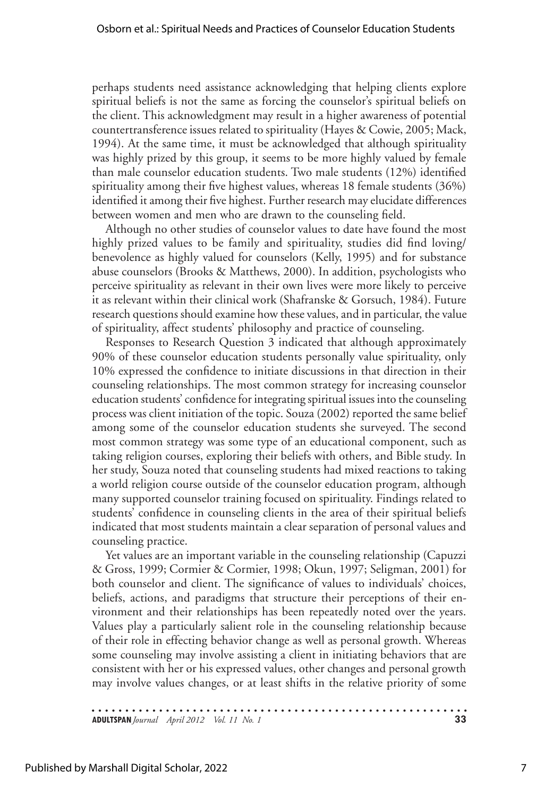perhaps students need assistance acknowledging that helping clients explore spiritual beliefs is not the same as forcing the counselor's spiritual beliefs on the client. This acknowledgment may result in a higher awareness of potential countertransference issues related to spirituality (Hayes & Cowie, 2005; Mack, 1994). At the same time, it must be acknowledged that although spirituality was highly prized by this group, it seems to be more highly valued by female than male counselor education students. Two male students (12%) identified spirituality among their five highest values, whereas 18 female students (36%) identified it among their five highest. Further research may elucidate differences between women and men who are drawn to the counseling field.

Although no other studies of counselor values to date have found the most highly prized values to be family and spirituality, studies did find loving/ benevolence as highly valued for counselors (Kelly, 1995) and for substance abuse counselors (Brooks & Matthews, 2000). In addition, psychologists who perceive spirituality as relevant in their own lives were more likely to perceive it as relevant within their clinical work (Shafranske & Gorsuch, 1984). Future research questions should examine how these values, and in particular, the value of spirituality, affect students' philosophy and practice of counseling.

Responses to Research Question 3 indicated that although approximately 90% of these counselor education students personally value spirituality, only 10% expressed the confidence to initiate discussions in that direction in their counseling relationships. The most common strategy for increasing counselor education students' confidence for integrating spiritual issues into the counseling process was client initiation of the topic. Souza (2002) reported the same belief among some of the counselor education students she surveyed. The second most common strategy was some type of an educational component, such as taking religion courses, exploring their beliefs with others, and Bible study. In her study, Souza noted that counseling students had mixed reactions to taking a world religion course outside of the counselor education program, although many supported counselor training focused on spirituality. Findings related to students' confidence in counseling clients in the area of their spiritual beliefs indicated that most students maintain a clear separation of personal values and counseling practice.

Yet values are an important variable in the counseling relationship (Capuzzi & Gross, 1999; Cormier & Cormier, 1998; Okun, 1997; Seligman, 2001) for both counselor and client. The significance of values to individuals' choices, beliefs, actions, and paradigms that structure their perceptions of their environment and their relationships has been repeatedly noted over the years. Values play a particularly salient role in the counseling relationship because of their role in effecting behavior change as well as personal growth. Whereas some counseling may involve assisting a client in initiating behaviors that are consistent with her or his expressed values, other changes and personal growth may involve values changes, or at least shifts in the relative priority of some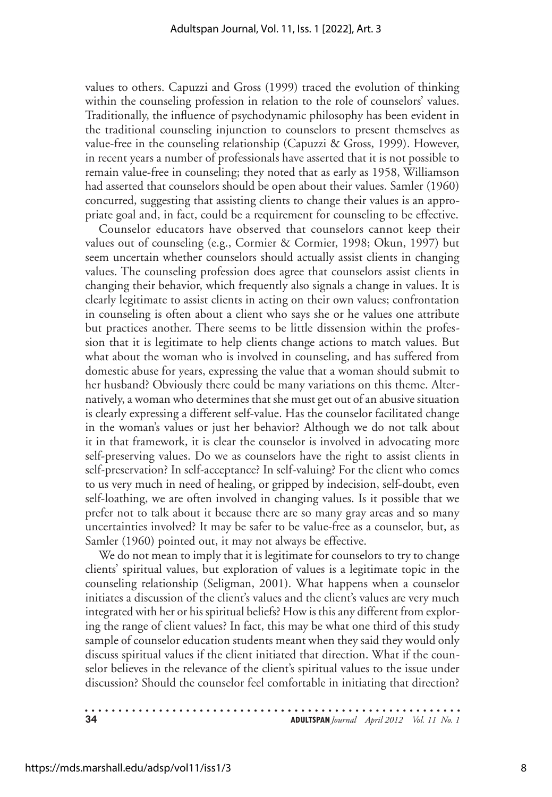values to others. Capuzzi and Gross (1999) traced the evolution of thinking within the counseling profession in relation to the role of counselors' values. Traditionally, the influence of psychodynamic philosophy has been evident in the traditional counseling injunction to counselors to present themselves as value-free in the counseling relationship (Capuzzi & Gross, 1999). However, in recent years a number of professionals have asserted that it is not possible to remain value-free in counseling; they noted that as early as 1958, Williamson had asserted that counselors should be open about their values. Samler (1960) concurred, suggesting that assisting clients to change their values is an appropriate goal and, in fact, could be a requirement for counseling to be effective.

Counselor educators have observed that counselors cannot keep their values out of counseling (e.g., Cormier & Cormier, 1998; Okun, 1997) but seem uncertain whether counselors should actually assist clients in changing values. The counseling profession does agree that counselors assist clients in changing their behavior, which frequently also signals a change in values. It is clearly legitimate to assist clients in acting on their own values; confrontation in counseling is often about a client who says she or he values one attribute but practices another. There seems to be little dissension within the profession that it is legitimate to help clients change actions to match values. But what about the woman who is involved in counseling, and has suffered from domestic abuse for years, expressing the value that a woman should submit to her husband? Obviously there could be many variations on this theme. Alternatively, a woman who determines that she must get out of an abusive situation is clearly expressing a different self-value. Has the counselor facilitated change in the woman's values or just her behavior? Although we do not talk about it in that framework, it is clear the counselor is involved in advocating more self-preserving values. Do we as counselors have the right to assist clients in self-preservation? In self-acceptance? In self-valuing? For the client who comes to us very much in need of healing, or gripped by indecision, self-doubt, even self-loathing, we are often involved in changing values. Is it possible that we prefer not to talk about it because there are so many gray areas and so many uncertainties involved? It may be safer to be value-free as a counselor, but, as Samler (1960) pointed out, it may not always be effective.

We do not mean to imply that it is legitimate for counselors to try to change clients' spiritual values, but exploration of values is a legitimate topic in the counseling relationship (Seligman, 2001). What happens when a counselor initiates a discussion of the client's values and the client's values are very much integrated with her or his spiritual beliefs? How is this any different from exploring the range of client values? In fact, this may be what one third of this study sample of counselor education students meant when they said they would only discuss spiritual values if the client initiated that direction. What if the counselor believes in the relevance of the client's spiritual values to the issue under discussion? Should the counselor feel comfortable in initiating that direction?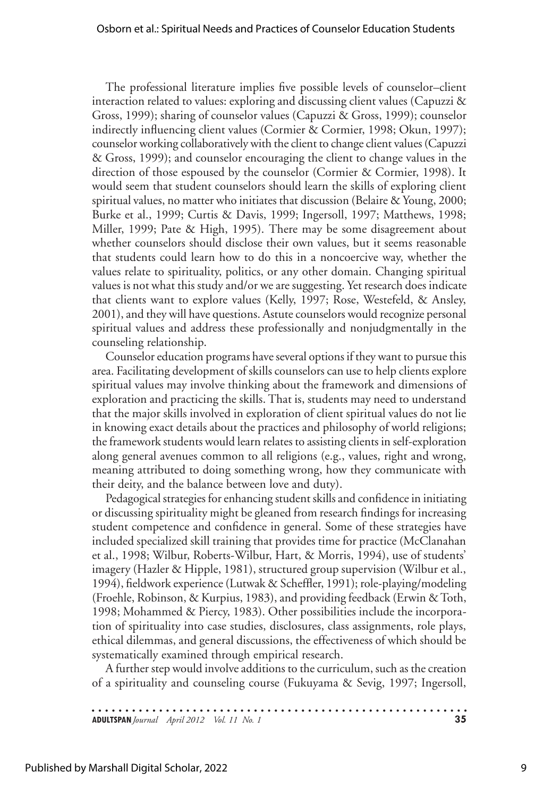The professional literature implies five possible levels of counselor–client interaction related to values: exploring and discussing client values (Capuzzi & Gross, 1999); sharing of counselor values (Capuzzi & Gross, 1999); counselor indirectly influencing client values (Cormier & Cormier, 1998; Okun, 1997); counselor working collaboratively with the client to change client values (Capuzzi & Gross, 1999); and counselor encouraging the client to change values in the direction of those espoused by the counselor (Cormier & Cormier, 1998). It would seem that student counselors should learn the skills of exploring client spiritual values, no matter who initiates that discussion (Belaire & Young, 2000; Burke et al., 1999; Curtis & Davis, 1999; Ingersoll, 1997; Matthews, 1998; Miller, 1999; Pate & High, 1995). There may be some disagreement about whether counselors should disclose their own values, but it seems reasonable that students could learn how to do this in a noncoercive way, whether the values relate to spirituality, politics, or any other domain. Changing spiritual values is not what this study and/or we are suggesting. Yet research does indicate that clients want to explore values (Kelly, 1997; Rose, Westefeld, & Ansley, 2001), and they will have questions. Astute counselors would recognize personal spiritual values and address these professionally and nonjudgmentally in the counseling relationship.

Counselor education programs have several options if they want to pursue this area. Facilitating development of skills counselors can use to help clients explore spiritual values may involve thinking about the framework and dimensions of exploration and practicing the skills. That is, students may need to understand that the major skills involved in exploration of client spiritual values do not lie in knowing exact details about the practices and philosophy of world religions; the framework students would learn relates to assisting clients in self-exploration along general avenues common to all religions (e.g., values, right and wrong, meaning attributed to doing something wrong, how they communicate with their deity, and the balance between love and duty).

Pedagogical strategies for enhancing student skills and confidence in initiating or discussing spirituality might be gleaned from research findings for increasing student competence and confidence in general. Some of these strategies have included specialized skill training that provides time for practice (McClanahan et al., 1998; Wilbur, Roberts-Wilbur, Hart, & Morris, 1994), use of students' imagery (Hazler & Hipple, 1981), structured group supervision (Wilbur et al., 1994), fieldwork experience (Lutwak & Scheffler, 1991); role-playing/modeling (Froehle, Robinson, & Kurpius, 1983), and providing feedback (Erwin & Toth, 1998; Mohammed & Piercy, 1983). Other possibilities include the incorporation of spirituality into case studies, disclosures, class assignments, role plays, ethical dilemmas, and general discussions, the effectiveness of which should be systematically examined through empirical research.

A further step would involve additions to the curriculum, such as the creation of a spirituality and counseling course (Fukuyama & Sevig, 1997; Ingersoll,

| <b>ADULTSPAN</b> Journal April 2012 Vol. 11 No. 1 |  |  |
|---------------------------------------------------|--|--|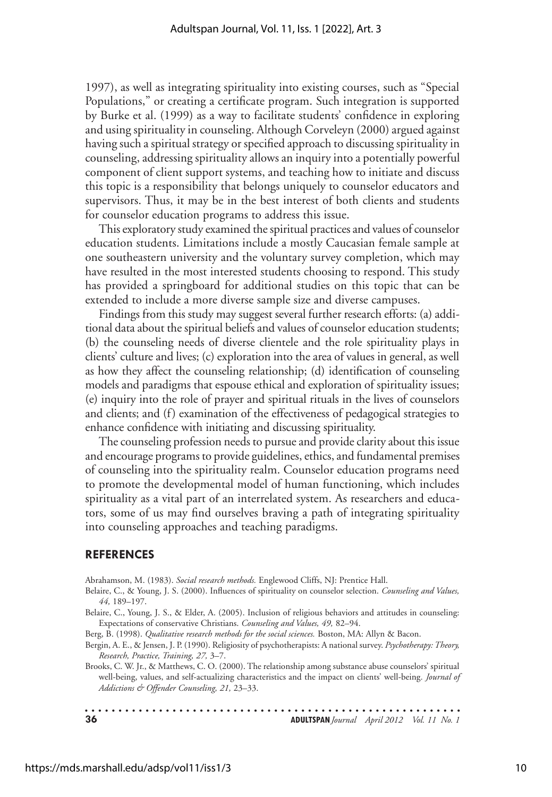1997), as well as integrating spirituality into existing courses, such as "Special Populations," or creating a certificate program. Such integration is supported by Burke et al. (1999) as a way to facilitate students' confidence in exploring and using spirituality in counseling. Although Corveleyn (2000) argued against having such a spiritual strategy or specified approach to discussing spirituality in counseling, addressing spirituality allows an inquiry into a potentially powerful component of client support systems, and teaching how to initiate and discuss this topic is a responsibility that belongs uniquely to counselor educators and supervisors. Thus, it may be in the best interest of both clients and students for counselor education programs to address this issue.

This exploratory study examined the spiritual practices and values of counselor education students. Limitations include a mostly Caucasian female sample at one southeastern university and the voluntary survey completion, which may have resulted in the most interested students choosing to respond. This study has provided a springboard for additional studies on this topic that can be extended to include a more diverse sample size and diverse campuses.

Findings from this study may suggest several further research efforts: (a) additional data about the spiritual beliefs and values of counselor education students; (b) the counseling needs of diverse clientele and the role spirituality plays in clients' culture and lives; (c) exploration into the area of values in general, as well as how they affect the counseling relationship; (d) identification of counseling models and paradigms that espouse ethical and exploration of spirituality issues; (e) inquiry into the role of prayer and spiritual rituals in the lives of counselors and clients; and (f) examination of the effectiveness of pedagogical strategies to enhance confidence with initiating and discussing spirituality.

The counseling profession needs to pursue and provide clarity about this issue and encourage programs to provide guidelines, ethics, and fundamental premises of counseling into the spirituality realm. Counselor education programs need to promote the developmental model of human functioning, which includes spirituality as a vital part of an interrelated system. As researchers and educators, some of us may find ourselves braving a path of integrating spirituality into counseling approaches and teaching paradigms.

#### **References**

Abrahamson, M. (1983). *Social research methods.* Englewood Cliffs, NJ: Prentice Hall.

- Belaire, C., & Young, J. S. (2000). Influences of spirituality on counselor selection. *Counseling and Values, 44,* 189–197.
- Belaire, C., Young, J. S., & Elder, A. (2005). Inclusion of religious behaviors and attitudes in counseling: Expectations of conservative Christians. *Counseling and Values, 49,* 82–94.

Berg, B. (1998). *Qualitative research methods for the social sciences.* Boston, MA: Allyn & Bacon.

- Bergin, A. E., & Jensen, J. P. (1990). Religiosity of psychotherapists: A national survey. *Psychotherapy: Theory, Research, Practice, Training, 27,* 3–7.
- Brooks, C. W. Jr., & Matthews, C. O. (2000). The relationship among substance abuse counselors' spiritual well-being, values, and self-actualizing characteristics and the impact on clients' well-being*. Journal of Addictions & Offender Counseling, 21,* 23–33.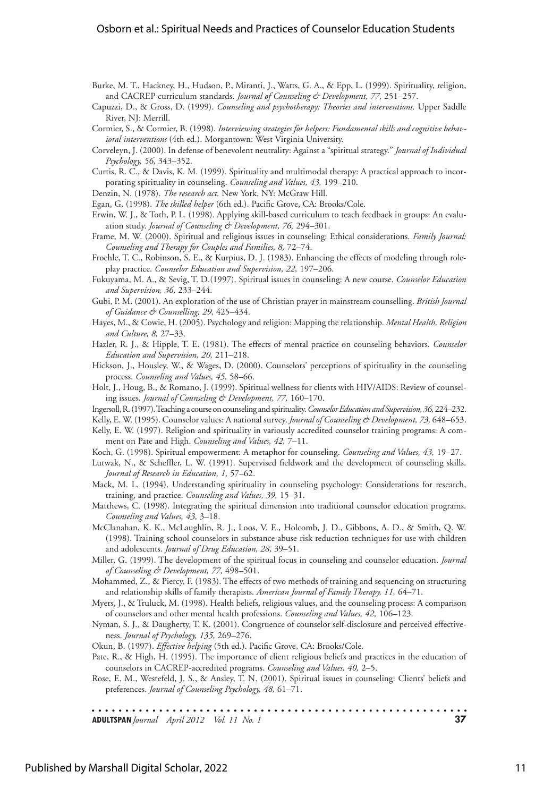#### Osborn et al.: Spiritual Needs and Practices of Counselor Education Students

- Burke, M. T., Hackney, H., Hudson, P., Miranti, J., Watts, G. A., & Epp, L. (1999). Spirituality, religion, and CACREP curriculum standards. *Journal of Counseling & Development, 77,* 251–257.
- Capuzzi, D., & Gross, D. (1999). *Counseling and psychotherapy: Theories and interventions.* Upper Saddle River, NJ: Merrill.
- Cormier, S., & Cormier, B. (1998). *Interviewing strategies for helpers: Fundamental skills and cognitive behavioral interventions* (4th ed.). Morgantown: West Virginia University.
- Corveleyn, J. (2000). In defense of benevolent neutrality: Against a "spiritual strategy." *Journal of Individual Psychology, 56,* 343–352.
- Curtis, R. C., & Davis, K. M. (1999). Spirituality and multimodal therapy: A practical approach to incorporating spirituality in counseling. *Counseling and Values, 43,* 199–210.
- Denzin, N. (1978). *The research act.* New York, NY: McGraw Hill.
- Egan, G. (1998). *The skilled helper* (6th ed.). Pacific Grove, CA: Brooks/Cole.
- Erwin, W. J., & Toth, P. L. (1998). Applying skill-based curriculum to teach feedback in groups: An evaluation study. *Journal of Counseling & Development, 76,* 294–301.
- Frame, M. W. (2000). Spiritual and religious issues in counseling: Ethical considerations. *Family Journal: Counseling and Therapy for Couples and Families, 8,* 72–74.
- Froehle, T. C., Robinson, S. E., & Kurpius, D. J. (1983). Enhancing the effects of modeling through roleplay practice. *Counselor Education and Supervision, 22,* 197–206.
- Fukuyama, M. A., & Sevig, T. D.(1997). Spiritual issues in counseling: A new course. *Counselor Education and Supervision, 36,* 233–244.
- Gubi, P. M. (2001). An exploration of the use of Christian prayer in mainstream counselling. *British Journal of Guidance & Counselling, 29,* 425–434.
- Hayes, M., & Cowie, H. (2005). Psychology and religion: Mapping the relationship. *Mental Health, Religion and Culture, 8,* 27–33.
- Hazler, R. J., & Hipple, T. E. (1981). The effects of mental practice on counseling behaviors. *Counselor Education and Supervision, 20,* 211–218.
- Hickson, J., Housley, W., & Wages, D. (2000). Counselors' perceptions of spirituality in the counseling process. *Counseling and Values, 45,* 58–66.
- Holt, J., Houg, B., & Romano, J. (1999). Spiritual wellness for clients with HIV/AIDS: Review of counseling issues. *Journal of Counseling & Development, 77,* 160–170.
- Ingersoll, R. (1997). Teaching a course on counseling and spirituality. *Counselor Education and Supervision, 36,* 224–232.
- Kelly, E. W. (1995). Counselor values: A national survey. *Journal of Counseling & Development, 73,* 648–653.
- Kelly, E. W. (1997). Religion and spirituality in variously accredited counselor training programs: A comment on Pate and High. *Counseling and Values, 42,* 7–11.
- Koch, G. (1998). Spiritual empowerment: A metaphor for counseling. *Counseling and Values, 43,* 19–27.
- Lutwak, N., & Scheffler, L. W. (1991). Supervised fieldwork and the development of counseling skills. *Journal of Research in Education, 1,* 57–62.
- Mack, M. L. (1994). Understanding spirituality in counseling psychology: Considerations for research, training, and practice. *Counseling and Values, 39,* 15–31.
- Matthews, C. (1998). Integrating the spiritual dimension into traditional counselor education programs. *Counseling and Values, 43,* 3–18.
- McClanahan, K. K., McLaughlin, R. J., Loos, V. E., Holcomb, J. D., Gibbons, A. D., & Smith, Q. W. (1998). Training school counselors in substance abuse risk reduction techniques for use with children and adolescents. *Journal of Drug Education, 28,* 39–51.
- Miller, G. (1999). The development of the spiritual focus in counseling and counselor education. *Journal of Counseling & Development, 77,* 498–501.
- Mohammed, Z., & Piercy, F. (1983). The effects of two methods of training and sequencing on structuring and relationship skills of family therapists. *American Journal of Family Therapy, 11,* 64–71.
- Myers, J., & Truluck, M. (1998). Health beliefs, religious values, and the counseling process: A comparison of counselors and other mental health professions. *Counseling and Values, 42,* 106–123.
- Nyman, S. J., & Daugherty, T. K. (2001). Congruence of counselor self-disclosure and perceived effectiveness. *Journal of Psychology, 135,* 269–276.

Okun, B. (1997). *Effective helping* (5th ed.). Pacific Grove, CA: Brooks/Cole.

- Pate, R., & High, H. (1995). The importance of client religious beliefs and practices in the education of counselors in CACREP-accredited programs. *Counseling and Values, 40,* 2–5.
- Rose, E. M., Westefeld, J. S., & Ansley, T. N. (2001). Spiritual issues in counseling: Clients' beliefs and preferences. *Journal of Counseling Psychology, 48,* 61–71.